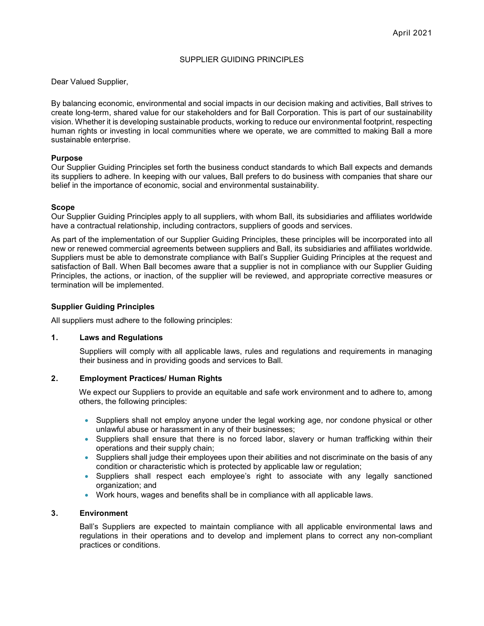### SUPPLIER GUIDING PRINCIPLES

Dear Valued Supplier,

By balancing economic, environmental and social impacts in our decision making and activities, Ball strives to create long-term, shared value for our stakeholders and for Ball Corporation. This is part of our sustainability vision. Whether it is developing sustainable products, working to reduce our environmental footprint, respecting human rights or investing in local communities where we operate, we are committed to making Ball a more sustainable enterprise.

#### **Purpose**

Our Supplier Guiding Principles set forth the business conduct standards to which Ball expects and demands its suppliers to adhere. In keeping with our values, Ball prefers to do business with companies that share our belief in the importance of economic, social and environmental sustainability.

#### **Scope**

Our Supplier Guiding Principles apply to all suppliers, with whom Ball, its subsidiaries and affiliates worldwide have a contractual relationship, including contractors, suppliers of goods and services.

As part of the implementation of our Supplier Guiding Principles, these principles will be incorporated into all new or renewed commercial agreements between suppliers and Ball, its subsidiaries and affiliates worldwide. Suppliers must be able to demonstrate compliance with Ball's Supplier Guiding Principles at the request and satisfaction of Ball. When Ball becomes aware that a supplier is not in compliance with our Supplier Guiding Principles, the actions, or inaction, of the supplier will be reviewed, and appropriate corrective measures or termination will be implemented.

### **Supplier Guiding Principles**

All suppliers must adhere to the following principles:

### **1. Laws and Regulations**

Suppliers will comply with all applicable laws, rules and regulations and requirements in managing their business and in providing goods and services to Ball.

### **2. Employment Practices/ Human Rights**

We expect our Suppliers to provide an equitable and safe work environment and to adhere to, among others, the following principles:

- Suppliers shall not employ anyone under the legal working age, nor condone physical or other unlawful abuse or harassment in any of their businesses;
- Suppliers shall ensure that there is no forced labor, slavery or human trafficking within their operations and their supply chain;
- Suppliers shall judge their employees upon their abilities and not discriminate on the basis of any condition or characteristic which is protected by applicable law or regulation;
- Suppliers shall respect each employee's right to associate with any legally sanctioned organization; and
- Work hours, wages and benefits shall be in compliance with all applicable laws.

## **3. Environment**

Ball's Suppliers are expected to maintain compliance with all applicable environmental laws and regulations in their operations and to develop and implement plans to correct any non-compliant practices or conditions.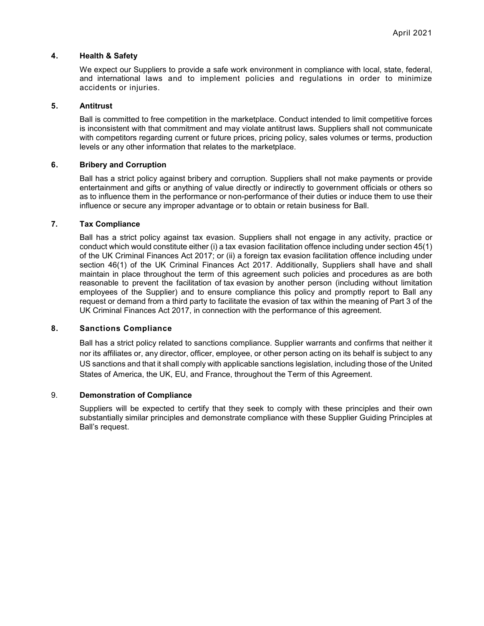### **4. Health & Safety**

We expect our Suppliers to provide a safe work environment in compliance with local, state, federal, and international laws and to implement policies and regulations in order to minimize accidents or injuries.

### **5. Antitrust**

Ball is committed to free competition in the marketplace. Conduct intended to limit competitive forces is inconsistent with that commitment and may violate antitrust laws. Suppliers shall not communicate with competitors regarding current or future prices, pricing policy, sales volumes or terms, production levels or any other information that relates to the marketplace.

# **6. Bribery and Corruption**

Ball has a strict policy against bribery and corruption. Suppliers shall not make payments or provide entertainment and gifts or anything of value directly or indirectly to government officials or others so as to influence them in the performance or non-performance of their duties or induce them to use their influence or secure any improper advantage or to obtain or retain business for Ball.

## **7. Tax Compliance**

Ball has a strict policy against tax evasion. Suppliers shall not engage in any activity, practice or conduct which would constitute either (i) a tax evasion facilitation offence including under section 45(1) of the UK Criminal Finances Act 2017; or (ii) a foreign tax evasion facilitation offence including under section 46(1) of the UK Criminal Finances Act 2017. Additionally, Suppliers shall have and shall maintain in place throughout the term of this agreement such policies and procedures as are both reasonable to prevent the facilitation of tax evasion by another person (including without limitation employees of the Supplier) and to ensure compliance this policy and promptly report to Ball any request or demand from a third party to facilitate the evasion of tax within the meaning of Part 3 of the UK Criminal Finances Act 2017, in connection with the performance of this agreement.

# **8. Sanctions Compliance**

Ball has a strict policy related to sanctions compliance. Supplier warrants and confirms that neither it nor its affiliates or, any director, officer, employee, or other person acting on its behalf is subject to any US sanctions and that it shall comply with applicable sanctions legislation, including those of the United States of America, the UK, EU, and France, throughout the Term of this Agreement.

### 9. **Demonstration of Compliance**

Suppliers will be expected to certify that they seek to comply with these principles and their own substantially similar principles and demonstrate compliance with these Supplier Guiding Principles at Ball's request.